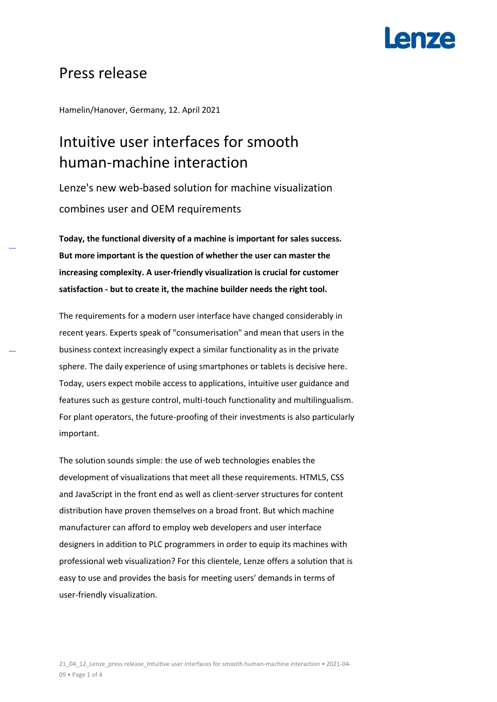## **Anze**

### Press release

Hamelin/Hanover, Germany, 12. April 2021

## Intuitive user interfaces for smooth human-machine interaction

Lenze's new web-based solution for machine visualization combines user and OEM requirements

**Today, the functional diversity of a machine is important for sales success. But more important is the question of whether the user can master the increasing complexity. A user-friendly visualization is crucial for customer satisfaction - but to create it, the machine builder needs the right tool.**

The requirements for a modern user interface have changed considerably in recent years. Experts speak of "consumerisation" and mean that users in the business context increasingly expect a similar functionality as in the private sphere. The daily experience of using smartphones or tablets is decisive here. Today, users expect mobile access to applications, intuitive user guidance and features such as gesture control, multi-touch functionality and multilingualism. For plant operators, the future-proofing of their investments is also particularly important.

The solution sounds simple: the use of web technologies enables the development of visualizations that meet all these requirements. HTML5, CSS and JavaScript in the front end as well as client-server structures for content distribution have proven themselves on a broad front. But which machine manufacturer can afford to employ web developers and user interface designers in addition to PLC programmers in order to equip its machines with professional web visualization? For this clientele, Lenze offers a solution that is easy to use and provides the basis for meeting users' demands in terms of user-friendly visualization.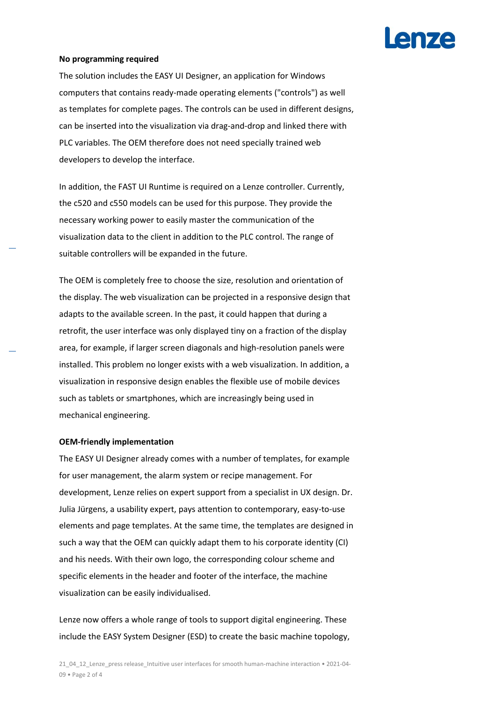# **AN7A**

#### **No programming required**

The solution includes the EASY UI Designer, an application for Windows computers that contains ready-made operating elements ("controls") as well as templates for complete pages. The controls can be used in different designs, can be inserted into the visualization via drag-and-drop and linked there with PLC variables. The OEM therefore does not need specially trained web developers to develop the interface.

In addition, the FAST UI Runtime is required on a Lenze controller. Currently, the c520 and c550 models can be used for this purpose. They provide the necessary working power to easily master the communication of the visualization data to the client in addition to the PLC control. The range of suitable controllers will be expanded in the future.

The OEM is completely free to choose the size, resolution and orientation of the display. The web visualization can be projected in a responsive design that adapts to the available screen. In the past, it could happen that during a retrofit, the user interface was only displayed tiny on a fraction of the display area, for example, if larger screen diagonals and high-resolution panels were installed. This problem no longer exists with a web visualization. In addition, a visualization in responsive design enables the flexible use of mobile devices such as tablets or smartphones, which are increasingly being used in mechanical engineering.

#### **OEM-friendly implementation**

The EASY UI Designer already comes with a number of templates, for example for user management, the alarm system or recipe management. For development, Lenze relies on expert support from a specialist in UX design. Dr. Julia Jürgens, a usability expert, pays attention to contemporary, easy-to-use elements and page templates. At the same time, the templates are designed in such a way that the OEM can quickly adapt them to his corporate identity (CI) and his needs. With their own logo, the corresponding colour scheme and specific elements in the header and footer of the interface, the machine visualization can be easily individualised.

Lenze now offers a whole range of tools to support digital engineering. These include the EASY System Designer (ESD) to create the basic machine topology,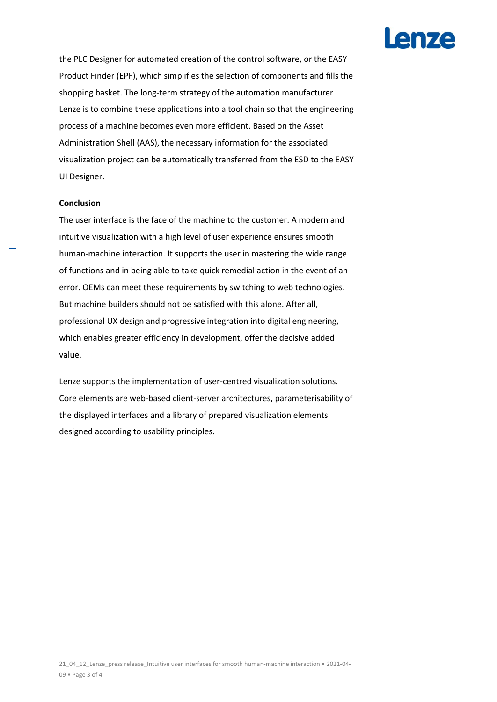

the PLC Designer for automated creation of the control software, or the EASY Product Finder (EPF), which simplifies the selection of components and fills the shopping basket. The long-term strategy of the automation manufacturer Lenze is to combine these applications into a tool chain so that the engineering process of a machine becomes even more efficient. Based on the Asset Administration Shell (AAS), the necessary information for the associated visualization project can be automatically transferred from the ESD to the EASY UI Designer.

#### **Conclusion**

The user interface is the face of the machine to the customer. A modern and intuitive visualization with a high level of user experience ensures smooth human-machine interaction. It supports the user in mastering the wide range of functions and in being able to take quick remedial action in the event of an error. OEMs can meet these requirements by switching to web technologies. But machine builders should not be satisfied with this alone. After all, professional UX design and progressive integration into digital engineering, which enables greater efficiency in development, offer the decisive added value.

Lenze supports the implementation of user-centred visualization solutions. Core elements are web-based client-server architectures, parameterisability of the displayed interfaces and a library of prepared visualization elements designed according to usability principles.